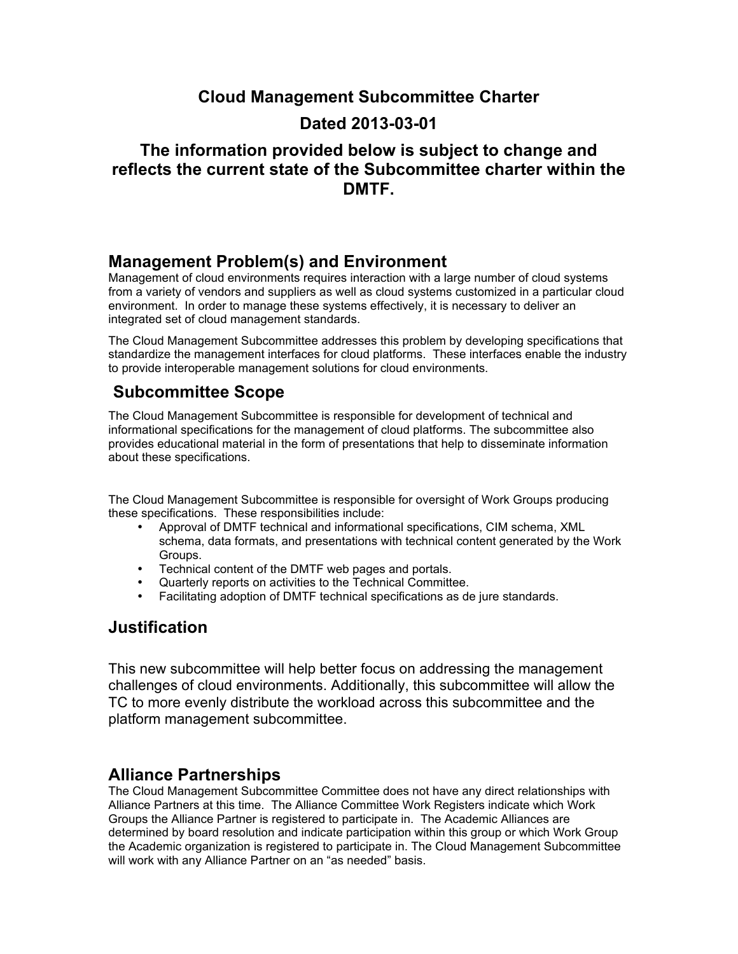## **Cloud Management Subcommittee Charter**

## **Dated 2013-03-01**

## **The information provided below is subject to change and reflects the current state of the Subcommittee charter within the DMTF.**

#### **Management Problem(s) and Environment**

Management of cloud environments requires interaction with a large number of cloud systems from a variety of vendors and suppliers as well as cloud systems customized in a particular cloud environment. In order to manage these systems effectively, it is necessary to deliver an integrated set of cloud management standards.

The Cloud Management Subcommittee addresses this problem by developing specifications that standardize the management interfaces for cloud platforms. These interfaces enable the industry to provide interoperable management solutions for cloud environments.

# **Subcommittee Scope**

The Cloud Management Subcommittee is responsible for development of technical and informational specifications for the management of cloud platforms. The subcommittee also provides educational material in the form of presentations that help to disseminate information about these specifications.

The Cloud Management Subcommittee is responsible for oversight of Work Groups producing these specifications. These responsibilities include:

- Approval of DMTF technical and informational specifications, CIM schema, XML schema, data formats, and presentations with technical content generated by the Work Groups.
- Technical content of the DMTF web pages and portals.
- Quarterly reports on activities to the Technical Committee.
- Facilitating adoption of DMTF technical specifications as de jure standards.

## **Justification**

This new subcommittee will help better focus on addressing the management challenges of cloud environments. Additionally, this subcommittee will allow the TC to more evenly distribute the workload across this subcommittee and the platform management subcommittee.

#### **Alliance Partnerships**

The Cloud Management Subcommittee Committee does not have any direct relationships with Alliance Partners at this time. The Alliance Committee Work Registers indicate which Work Groups the Alliance Partner is registered to participate in. The Academic Alliances are determined by board resolution and indicate participation within this group or which Work Group the Academic organization is registered to participate in. The Cloud Management Subcommittee will work with any Alliance Partner on an "as needed" basis.